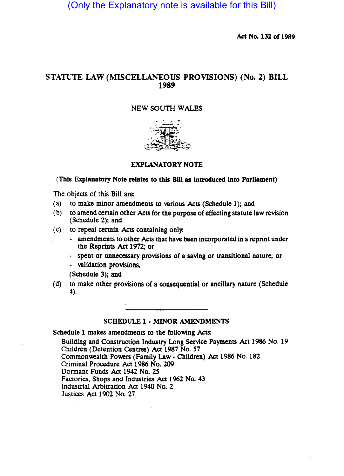(Only the Explanatory note is available for this Bill)

Act No. 132 of 1989

# STATUTE LAW (MISCELLANEOUS PROVISIONS) (No. 2) BILL 1989

## NEW SOUTH WALES



## EXPLANATORY NOTE

#### (This Explanatory Note relates to this BIU as Introduced Into Parliament)

The objects of this Bill are:

- (a) to make minor amendments to various Acts (Schedule 1); and
- (b) to amend certain other Acts for the purpose of effecting statute law revision (Schedule 2); and
- $(c)$  to repeal certain Acts containing only.
	- amendments to other Acts that have been incorporated in a reprint under the Reprints Act 1972; or
	- spent or unnecessary provisions of a saving or transitional nature; or
	- validation provisions,

(Schedule 3); and

(d) to make other provisions of a consequential or ancillary nature (Schedule 4).

#### SCHEDULE 1 • MINOR AMENDMENTS

Schedule 1 makes amendments to the following Acts:

Building and Construction Industry Long Service Payments Act 1986 No. 19 Children (Detention Centres) Act 1987 No. *S7*  Commonwealth Powers (Family Law - Children) Act 1986 No. 182 Criminal Procedure Act 1986 No. 209 Dormant Funds Act 1942 No. 2S Factories. Shops and Industries Act 1962 No. 43 Industrial Arbitration Act 1940 No. 2 Justices Act 1902 No. 27